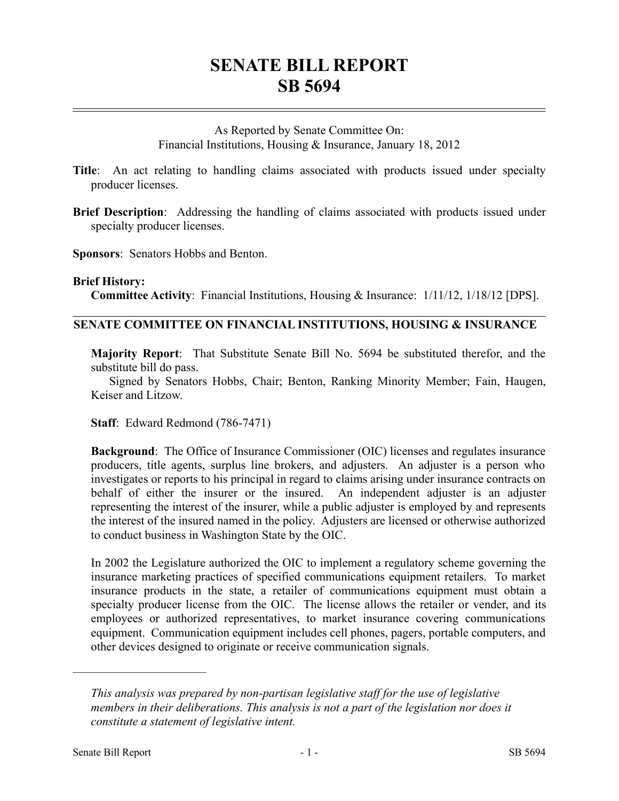# **SENATE BILL REPORT SB 5694**

As Reported by Senate Committee On: Financial Institutions, Housing & Insurance, January 18, 2012

**Title**: An act relating to handling claims associated with products issued under specialty producer licenses.

**Brief Description**: Addressing the handling of claims associated with products issued under specialty producer licenses.

**Sponsors**: Senators Hobbs and Benton.

#### **Brief History:**

**Committee Activity**: Financial Institutions, Housing & Insurance: 1/11/12, 1/18/12 [DPS].

# **SENATE COMMITTEE ON FINANCIAL INSTITUTIONS, HOUSING & INSURANCE**

**Majority Report**: That Substitute Senate Bill No. 5694 be substituted therefor, and the substitute bill do pass.

Signed by Senators Hobbs, Chair; Benton, Ranking Minority Member; Fain, Haugen, Keiser and Litzow.

**Staff**: Edward Redmond (786-7471)

**Background**: The Office of Insurance Commissioner (OIC) licenses and regulates insurance producers, title agents, surplus line brokers, and adjusters. An adjuster is a person who investigates or reports to his principal in regard to claims arising under insurance contracts on behalf of either the insurer or the insured. An independent adjuster is an adjuster representing the interest of the insurer, while a public adjuster is employed by and represents the interest of the insured named in the policy. Adjusters are licensed or otherwise authorized to conduct business in Washington State by the OIC.

In 2002 the Legislature authorized the OIC to implement a regulatory scheme governing the insurance marketing practices of specified communications equipment retailers. To market insurance products in the state, a retailer of communications equipment must obtain a specialty producer license from the OIC. The license allows the retailer or vender, and its employees or authorized representatives, to market insurance covering communications equipment. Communication equipment includes cell phones, pagers, portable computers, and other devices designed to originate or receive communication signals.

––––––––––––––––––––––

*This analysis was prepared by non-partisan legislative staff for the use of legislative members in their deliberations. This analysis is not a part of the legislation nor does it constitute a statement of legislative intent.*